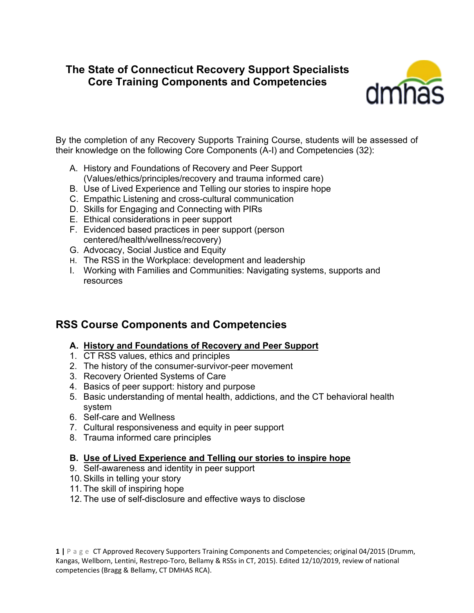# **The State of Connecticut Recovery Support Specialists Core Training Components and Competencies**



By the completion of any Recovery Supports Training Course, students will be assessed of their knowledge on the following Core Components (A-I) and Competencies (32):

- A. History and Foundations of Recovery and Peer Support (Values/ethics/principles/recovery and trauma informed care)
- B. Use of Lived Experience and Telling our stories to inspire hope
- C. Empathic Listening and cross-cultural communication
- D. Skills for Engaging and Connecting with PIRs
- E. Ethical considerations in peer support
- F. Evidenced based practices in peer support (person centered/health/wellness/recovery)
- G. Advocacy, Social Justice and Equity
- H. The RSS in the Workplace: development and leadership
- I. Working with Families and Communities: Navigating systems, supports and resources

# **RSS Course Components and Competencies**

- **A. History and Foundations of Recovery and Peer Support**
- 1. CT RSS values, ethics and principles
- 2. The history of the consumer-survivor-peer movement
- 3. Recovery Oriented Systems of Care
- 4. Basics of peer support: history and purpose
- 5. Basic understanding of mental health, addictions, and the CT behavioral health system
- 6. Self-care and Wellness
- 7. Cultural responsiveness and equity in peer support
- 8. Trauma informed care principles

### **B. Use of Lived Experience and Telling our stories to inspire hope**

- 9. Self-awareness and identity in peer support
- 10. Skills in telling your story
- 11. The skill of inspiring hope
- 12. The use of self-disclosure and effective ways to disclose

**1 |** Page CT Approved Recovery Supporters Training Components and Competencies; original 04/2015 (Drumm, Kangas, Wellborn, Lentini, Restrepo-Toro, Bellamy & RSSs in CT, 2015). Edited 12/10/2019, review of national competencies (Bragg & Bellamy, CT DMHAS RCA).